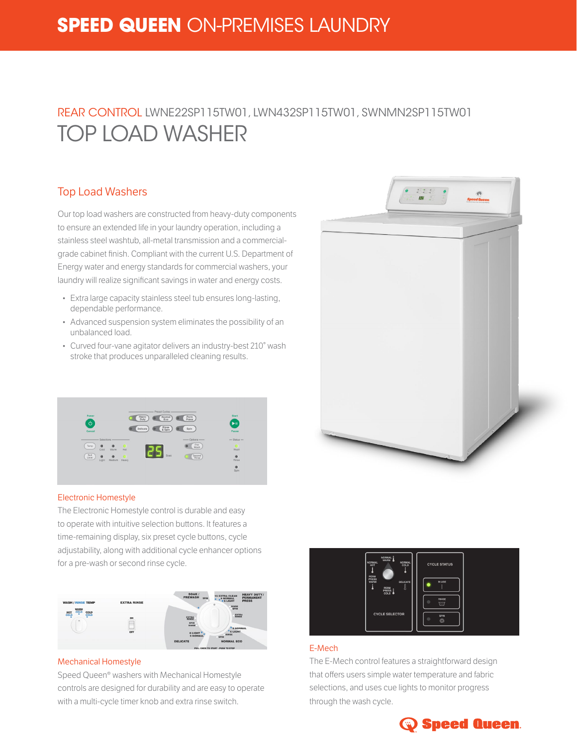# **SPEED QUEEN** ON-PREMISES LAUNDRY

## REAR CONTROL LWNE22SP115TW01, LWN432SP115TW01, SWNMN2SP115TW01 TOP LOAD WASHER

### Top Load Washers

Our top load washers are constructed from heavy-duty components to ensure an extended life in your laundry operation, including a stainless steel washtub, all-metal transmission and a commercialgrade cabinet finish. Compliant with the current U.S. Department of Energy water and energy standards for commercial washers, your laundry will realize significant savings in water and energy costs.

- Extra large capacity stainless steel tub ensures long-lasting, dependable performance.
- Advanced suspension system eliminates the possibility of an unbalanced load.
- Curved four-vane agitator delivers an industry-best 210° wash stroke that produces unparalleled cleaning results.



#### Electronic Homestyle

The Electronic Homestyle control is durable and easy to operate with intuitive selection buttons. It features a time-remaining display, six preset cycle buttons, cycle adjustability, along with additional cycle enhancer options for a pre-wash or second rinse cycle.



#### Mechanical Homestyle

Speed Queen® washers with Mechanical Homestyle controls are designed for durability and are easy to operate with a multi-cycle timer knob and extra rinse switch.





### E-Mech

The E-Mech control features a straightforward design that offers users simple water temperature and fabric selections, and uses cue lights to monitor progress through the wash cycle.